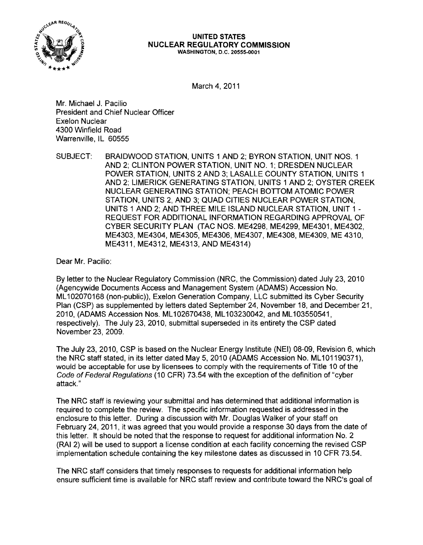

#### **UNITED STATES NUCLEAR REGULATORY COMMISSION** WASHINGTON, D.C. 20555·0001

March 4, 2011

Mr. Michael J. Pacilio President and Chief Nuclear Officer Exelon Nuclear 4300 Winfield Road Warrenville, IL 60555

SUBJECT: BRAIDWOOD STATION, UNITS 1 AND 2; BYRON STATION, UNIT NOS. 1 AND 2; CLINTON POWER STATION, UNIT NO.1; DRESDEN NUCLEAR POWER STATION, UNITS 2 AND 3; LASALLE COUNTY STATION, UNITS 1 AND 2; LIMERICK GENERATING STATION, UNITS 1 AND 2; OYSTER CREEK NUCLEAR GENERATING STATION; PEACH BOTTOM ATOMIC POWER STATION, UNITS 2, AND 3; QUAD CITIES NUCLEAR POWER STATION, UNITS 1 AND 2; AND THREE MILE ISLAND NUCLEAR STATION, UNIT 1 REQUEST FOR ADDITIONAL INFORMATION REGARDING APPROVAL OF CYBER SECURITY PLAN (TAC NOS. ME4298, ME4299, ME4301, ME4302, ME4303, ME4304, ME4305, ME4306, ME4307, ME4308, ME4309, ME 4310, ME4311, ME4312, ME4313, AND ME4314)

Dear Mr. Pacilio:

By letter to the Nuclear Regulatory Commission (NRC, the Commission) dated July 23,2010 (Agencywide Documents Access and Management System (ADAMS) Accession No. ML 102070168 (non-public», Exelon Generation Company, LLC submitted its Cyber Security Plan (CSP) as supplemented by letters dated September 24, November 18, and December 21 , 2010, (ADAMS Accession Nos. ML 102670438, ML 103230042, and ML 103550541, respectively). The July 23, 2010, submittal superseded in its entirety the CSP dated November 23,2009.

The July 23,2010, CSP is based on the Nuclear Energy Institute (NEI) 08-09, Revision 6, which the NRC staff stated, in its letter dated May 5, 2010 (ADAMS Accession No. ML101190371), would be acceptable for use by licensees to comply with the requirements of Title 10 of the Code of Federal Regulations (10 CFR) 73.54 with the exception of the definition of "cyber attack."

The NRC staff is reviewing your submittal and has determined that additional information is required to complete the review. The specific information requested is addressed in the enclosure to this letter. During a discussion with Mr. Douglas Walker of your staff on February 24, 2011, it was agreed that you would provide a response 30 days from the date of this letter. It should be noted that the response to request for additional information No.2 (RAI 2) will be used to support a license condition at each facility concerning the revised CSP implementation schedule containing the key milestone dates as discussed in 10 CFR 73.54.

The NRC staff considers that timely responses to requests for additional information help ensure sufficient time is available for NRC staff review and contribute toward the NRC's goal of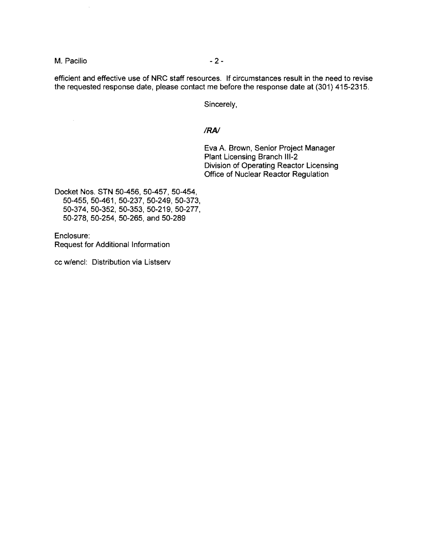M. Pacilio  $-2-$ 

 $\overline{\phantom{a}}$ 

efficient and effective use of NRC staff resources. If circumstances result in the need to revise the requested response date, please contact me before the response date at (301) 415-2315.

Sincerely,

## *IRA!*

Eva A. Brown, Senior Project Manager Plant Licensing Branch 111-2 Division of Operating Reactor Licensing Office of Nuclear Reactor Regulation

Docket Nos. STN 50-456, 50-457, 50-454, 50-455, 50-461, 50-237, 50-249, 50-373, 50-374,50-352,50-353,50-219,50-277, 50-278, 50-254, 50-265, and 50-289

Enclosure: Request for Additional Information

cc w/encl: Distribution via Listserv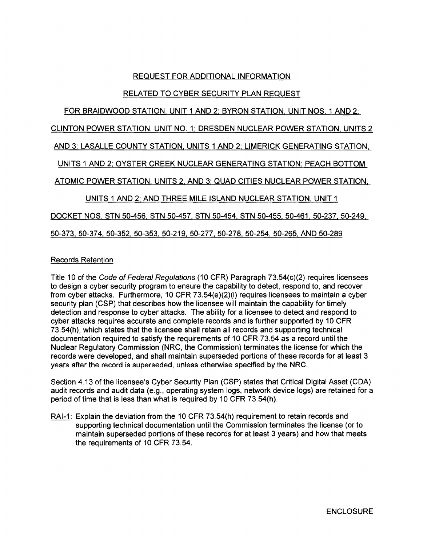# REQUEST FOR ADDITIONAL INFORMATION

# RELATED TO CYBER SECURITY PLAN REQUEST

# FOR BRAIDWOOD STATION, UNIT 1 AND 2; BYRON STATION, UNIT NOS. 1 AND 2; CLINTON POWER STATION, UNIT NO.1; DRESDEN NUCLEAR POWER STATION, UNITS 2 AND 3; LASALLE COUNTY STATION, UNITS 1 AND 2; LIMERICK GENERATING STATION, UNITS 1 AND 2; OYSTER CREEK NUCLEAR GENERATING STATION; PEACH BOTTOM ATOMIC POWER STATION, UNITS 2, AND 3; QUAD CITIES NUCLEAR POWER STATION, UNITS 1 AND 2; AND THREE MILE ISLAND NUCLEAR STATION, UNIT 1 DOCKET NOS. STN 50-456, STN 50-457, STN 50-454, STN 50-455, 50-461, 50-237, 50-249, 50-373,50-374,50-352,50-353,50-219,50-277, 50-278. 50-254. 50-265. AND 50-289

# Records Retention

Title 10 of the Code of Federal Regulations (10 CFR) Paragraph 73.54(c)(2) requires licensees to design a cyber security program to ensure the capability to detect, respond to, and recover from cyber attacks. Furthermore, 10 CFR 73.54(e)(2)(i) requires licensees to maintain a cyber security plan (CSP) that describes how the licensee will maintain the capability for timely detection and response to cyber attacks. The ability for a licensee to detect and respond to cyber attacks requires accurate and complete records and is further supported by 10 CFR 73.54(h), which states that the licensee shall retain all records and supporting technical documentation required to satisfy the requirements of 10 CFR 73.54 as a record until the Nuclear Regulatory Commission (NRC, the Commission) terminates the license for which the records were developed, and shall maintain superseded portions of these records for at least 3 years after the record is superseded, unless otherwise specified by the NRC.

Section 4.13 of the licensee's Cyber Security Plan (CSP) states that Critical Digital Asset (CDA) audit records and audit data (e.g., operating system logs, network device logs) are retained for a period of time that is less than what is required by 10 CFR 73.54(h).

RAI-1: Explain the deviation from the 10 CFR 73.54(h) requirement to retain records and supporting technical documentation until the Commission terminates the license (or to maintain superseded portions of these records for at least 3 years) and how that meets the requirements of 10 CFR 73.54.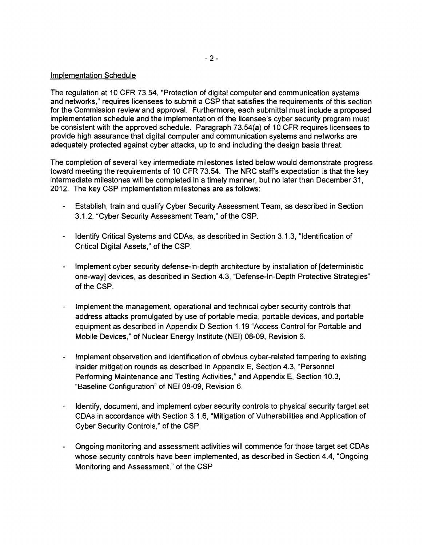### Implementation Schedule

The regulation at 10 CFR 73.54, "Protection of digital computer and communication systems and networks," requires licensees to submit a CSP that satisfies the requirements of this section for the Commission review and approval. Furthermore, each submittal must include a proposed implementation schedule and the implementation of the licensee's cyber security program must be consistent with the approved schedule. Paragraph 73.54{a) of 10 CFR requires licensees to provide high assurance that digital computer and communication systems and networks are adequately protected against cyber attacks, up to and including the design basis threat.

The completion of several key intermediate milestones listed below would demonstrate progress toward meeting the requirements of 10 CFR 73.54. The NRC staff's expectation is that the key intermediate milestones will be completed in a timely manner, but no later than December 31, 2012. The key CSP implementation milestones are as follows:

- Establish, train and qualify Cyber Security Assessment Team, as described in Section 3.1.2, "Cyber Security Assessment Team," of the CSP.
- Identify Critical Systems and CDAs, as described in Section 3.1.3, "Identification of Critical Digital Assets," of the CSP.
- Implement cyber security defense-in-depth architecture by installation of [deterministic] one-way] devices, as described in Section 4.3, "Defense-In-Depth Protective Strategies" of the CSP.
- Implement the management, operational and technical cyber security controls that address attacks promulgated by use of portable media, portable devices, and portable equipment as described in Appendix D Section 1.19 "Access Control for Portable and Mobile Devices," of Nuclear Energy Institute (NEI) 08-09, Revision 6.
- Implement observation and identification of obvious cyber-related tampering to existing insider mitigation rounds as described in Appendix E, Section 4.3, "Personnel Performing Maintenance and Testing Activities," and Appendix E, Section 10.3, "Baseline Configuration" of NEI 08-09, Revision 6.
- Identify, document, and implement cyber security controls to physical security target set CDAs in accordance with Section 3.1.6, "Mitigation of Vulnerabilities and Application of Cyber Security Controls," of the CSP.
- Ongoing monitoring and assessment activities will commence for those target set CDAs whose security controls have been implemented, as described in Section 4.4, "Ongoing Monitoring and Assessment," of the CSP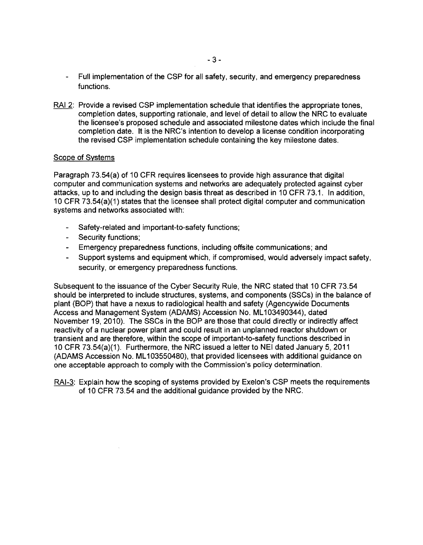- Full implementation of the CSP for all safety, security, and emergency preparedness functions.
- RA12: Provide a revised CSP implementation schedule that identifies the appropriate tones, completion dates, supporting rationale, and level of detail to allow the NRC to evaluate the licensee's proposed schedule and associated milestone dates which include the final completion date. It is the NRC's intention to develop a license condition incorporating the revised CSP implementation schedule containing the key milestone dates.

## Scope of Systems

Paragraph 73.54(a) of 10 CFR requires licensees to provide high assurance that digital computer and communication systems and networks are adequately protected against cyber attacks, up to and including the design basis threat as described in 10 CFR 73.1. In addition, 10 CFR 73.54(a)(1) states that the licensee shall protect digital computer and communication systems and networks associated with:

- Safety-related and important-to-safety functions;
- Security functions;
- Emergency preparedness functions, including offsite communications; and
- Support systems and equipment which, if compromised, would adversely impact safety,  $\mathbf{r}$ security, or emergency preparedness functions.

Subsequent to the issuance of the Cyber Security Rule, the NRC stated that 10 CFR 73.54 should be interpreted to include structures, systems, and components (SSCs) in the balance of plant (BOP) that have a nexus to radiological health and safety (Agencywide Documents Access and Management System (ADAMS) Accession No. ML 103490344), dated November 19, 2010). The SSCs in the BOP are those that could directly or indirectly affect reactivity of a nuclear power plant and could result in an unplanned reactor shutdown or transient and are therefore, within the scope of important-to-safety functions described in 10 CFR 73.54(a)(1). Furthermore, the NRC issued a letter to NEI dated January 5,2011 (ADAMS Accession No. ML 103550480), that provided licensees with additional guidance on one acceptable approach to comply with the Commission's policy determination.

RAI-3: Explain how the scoping of systems provided by Exelon's CSP meets the requirements of 10 CFR 73.54 and the additional guidance provided by the NRC.